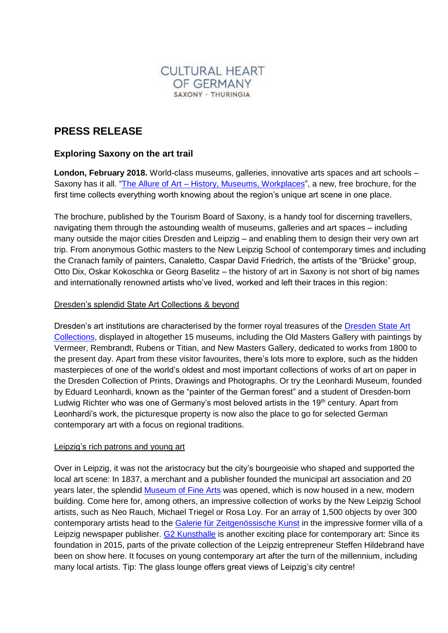

# **PRESS RELEASE**

# **Exploring Saxony on the art trail**

**London, February 2018.** World-class museums, galleries, innovative arts spaces and art schools – Saxony has it all. "The Allure of Art – [History, Museums, Workplaces"](https://shop.sachsen-tourismus.de/prospekte/the-allure-of-art.html), a new, free brochure, for the first time collects everything worth knowing about the region's unique art scene in one place.

The brochure, published by the Tourism Board of Saxony, is a handy tool for discerning travellers, navigating them through the astounding wealth of museums, galleries and art spaces – including many outside the major cities Dresden and Leipzig – and enabling them to design their very own art trip. From anonymous Gothic masters to the New Leipzig School of contemporary times and including the Cranach family of painters, Canaletto, Caspar David Friedrich, the artists of the "Brücke" group, Otto Dix, Oskar Kokoschka or Georg Baselitz – the history of art in Saxony is not short of big names and internationally renowned artists who've lived, worked and left their traces in this region:

## Dresden's splendid State Art Collections & beyond

Dresden's art institutions are characterised by the former royal treasures of the [Dresden State Art](https://www.skd.museum/en/)  [Collections,](https://www.skd.museum/en/) displayed in altogether 15 museums, including the Old Masters Gallery with paintings by Vermeer, Rembrandt, Rubens or Titian, and New Masters Gallery, dedicated to works from 1800 to the present day. Apart from these visitor favourites, there's lots more to explore, such as the hidden masterpieces of one of the world's oldest and most important collections of works of art on paper in the Dresden Collection of Prints, Drawings and Photographs. Or try the Leonhardi Museum, founded by Eduard Leonhardi, known as the "painter of the German forest" and a student of Dresden-born Ludwig Richter who was one of Germany's most beloved artists in the 19<sup>th</sup> century. Apart from Leonhardi's work, the picturesque property is now also the place to go for selected German contemporary art with a focus on regional traditions.

#### Leipzig's rich patrons and young art

Over in Leipzig, it was not the aristocracy but the city's bourgeoisie who shaped and supported the local art scene: In 1837, a merchant and a publisher founded the municipal art association and 20 years later, the splendid [Museum of Fine Arts](https://mdbk.de/en/) was opened, which is now housed in a new, modern building. Come here for, among others, an impressive collection of works by the New Leipzig School artists, such as Neo Rauch, Michael Triegel or Rosa Loy. For an array of 1,500 objects by over 300 contemporary artists head to the [Galerie für Zeitgenössische Kunst](https://gfzk.de/en/) in the impressive former villa of a Leipzig newspaper publisher. [G2 Kunsthalle](http://g2-leipzig.de/en/) is another exciting place for contemporary art: Since its foundation in 2015, parts of the private collection of the Leipzig entrepreneur Steffen Hildebrand have been on show here. It focuses on young contemporary art after the turn of the millennium, including many local artists. Tip: The glass lounge offers great views of Leipzig's city centre!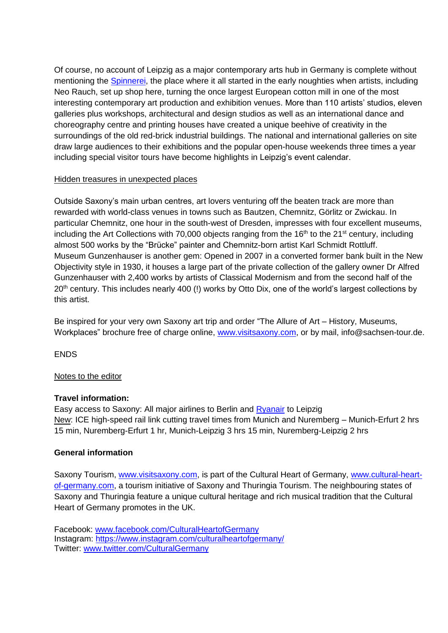Of course, no account of Leipzig as a major contemporary arts hub in Germany is complete without mentioning the [Spinnerei,](http://www.spinnerei.de/home-95.html) the place where it all started in the early noughties when artists, including Neo Rauch, set up shop here, turning the once largest European cotton mill in one of the most interesting contemporary art production and exhibition venues. More than 110 artists' studios, eleven galleries plus workshops, architectural and design studios as well as an international dance and choreography centre and printing houses have created a unique beehive of creativity in the surroundings of the old red-brick industrial buildings. The national and international galleries on site draw large audiences to their exhibitions and the popular open-house weekends three times a year including special visitor tours have become highlights in Leipzig's event calendar.

## Hidden treasures in unexpected places

Outside Saxony's main urban centres, art lovers venturing off the beaten track are more than rewarded with world-class venues in towns such as Bautzen, Chemnitz, Görlitz or Zwickau. In particular Chemnitz, one hour in the south-west of Dresden, impresses with four excellent museums, including the Art Collections with 70,000 objects ranging from the  $16<sup>th</sup>$  to the  $21<sup>st</sup>$  century, including almost 500 works by the "Brücke" painter and Chemnitz-born artist Karl Schmidt Rottluff. Museum Gunzenhauser is another gem: Opened in 2007 in a converted former bank built in the New Objectivity style in 1930, it houses a large part of the private collection of the gallery owner Dr Alfred Gunzenhauser with 2,400 works by artists of Classical Modernism and from the second half of the 20<sup>th</sup> century. This includes nearly 400 (!) works by Otto Dix, one of the world's largest collections by this artist.

Be inspired for your very own Saxony art trip and order "The Allure of Art – History, Museums, Workplaces" brochure free of charge online, [www.visitsaxony.com,](https://shop.sachsen-tourismus.de/prospekte/the-allure-of-art.html) or by mail, info@sachsen-tour.de.

ENDS

## Notes to the editor

#### **Travel information:**

Easy access to Saxony: All major airlines to Berlin and [Ryanair](http://www.ryanair.com/en/flights-to-leipzig/) to Leipzig New: ICE high-speed rail link cutting travel times from Munich and Nuremberg – Munich-Erfurt 2 hrs 15 min, Nuremberg-Erfurt 1 hr, Munich-Leipzig 3 hrs 15 min, Nuremberg-Leipzig 2 hrs

## **General information**

Saxony Tourism, [www.visitsaxony.com,](https://www.sachsen-tourismus.de/en/) is part of the Cultural Heart of Germany, [www.cultural-heart](http://www.cultural-heart-of-germany.com/)[of-germany.com,](http://www.cultural-heart-of-germany.com/) a tourism initiative of Saxony and Thuringia Tourism. The neighbouring states of Saxony and Thuringia feature a unique cultural heritage and rich musical tradition that the Cultural Heart of Germany promotes in the UK.

Facebook: [www.facebook.com/CulturalHeartofGermany](http://www.facebook.com/CulturalHeartofGermany) Instagram:<https://www.instagram.com/culturalheartofgermany/> Twitter: [www.twitter.com/CulturalGermany](file:///C:/Documents%20and%20Settings/rcs1/Local%20Settings/Temp/5/www.twitter.com/CulturalGermany)